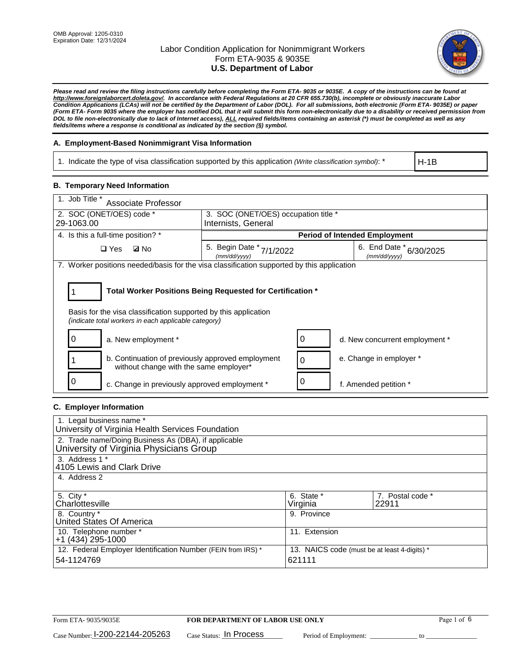

*Please read and review the filing instructions carefully before completing the Form ETA- 9035 or 9035E. A copy of the instructions can be found at [http://www.foreignlaborcert.doleta.gov/.](http://www.foreignlaborcert.doleta.gov/) In accordance with Federal Regulations at 20 CFR 655.730(b), incomplete or obviously inaccurate Labor Condition Applications (LCAs) will not be certified by the Department of Labor (DOL). For all submissions, both electronic (Form ETA- 9035E) or paper (Form ETA- Form 9035 where the employer has notified DOL that it will submit this form non-electronically due to a disability or received permission from DOL to file non-electronically due to lack of Internet access), ALL required fields/items containing an asterisk (\*) must be completed as well as any fields/items where a response is conditional as indicated by the section (§) symbol.* 

### **A. Employment-Based Nonimmigrant Visa Information**

1. Indicate the type of visa classification supported by this application *(Write classification symbol)*: \*

H-1B

#### **B. Temporary Need Information**

| 1. Job Title *<br>Associate Professor                                                                                                                                                 |                                          |          |                                             |  |  |
|---------------------------------------------------------------------------------------------------------------------------------------------------------------------------------------|------------------------------------------|----------|---------------------------------------------|--|--|
| 2. SOC (ONET/OES) code *                                                                                                                                                              | 3. SOC (ONET/OES) occupation title *     |          |                                             |  |  |
| 29-1063.00                                                                                                                                                                            | Internists, General                      |          |                                             |  |  |
| 4. Is this a full-time position? *                                                                                                                                                    | <b>Period of Intended Employment</b>     |          |                                             |  |  |
| $\square$ Yes<br><b>ØNo</b>                                                                                                                                                           | 5. Begin Date * 7/1/2022<br>(mm/dd/yyyy) |          | 6. End Date $*_{6/30/2025}$<br>(mm/dd/yyyy) |  |  |
| 7. Worker positions needed/basis for the visa classification supported by this application                                                                                            |                                          |          |                                             |  |  |
| Total Worker Positions Being Requested for Certification *<br>Basis for the visa classification supported by this application<br>(indicate total workers in each applicable category) |                                          |          |                                             |  |  |
| 0<br>a. New employment *                                                                                                                                                              |                                          | 0        | d. New concurrent employment *              |  |  |
| b. Continuation of previously approved employment<br>without change with the same employer*                                                                                           |                                          | $\Omega$ | e. Change in employer *                     |  |  |
| 0<br>c. Change in previously approved employment *                                                                                                                                    |                                          | 0        | f. Amended petition *                       |  |  |

# **C. Employer Information**

| 1. Legal business name *                                     |                                              |                  |  |  |
|--------------------------------------------------------------|----------------------------------------------|------------------|--|--|
| University of Virginia Health Services Foundation            |                                              |                  |  |  |
| 2. Trade name/Doing Business As (DBA), if applicable         |                                              |                  |  |  |
| University of Virginia Physicians Group                      |                                              |                  |  |  |
| 3. Address 1 *                                               |                                              |                  |  |  |
| 4105 Lewis and Clark Drive                                   |                                              |                  |  |  |
| 4. Address 2                                                 |                                              |                  |  |  |
|                                                              |                                              |                  |  |  |
| 5. City *                                                    | 6. State *                                   | 7. Postal code * |  |  |
| Charlottesville                                              | Virginia                                     | 22911            |  |  |
| 8. Country *                                                 | 9. Province                                  |                  |  |  |
| United States Of America                                     |                                              |                  |  |  |
| 10. Telephone number *                                       | 11. Extension                                |                  |  |  |
| +1 (434) 295-1000                                            |                                              |                  |  |  |
| 12. Federal Employer Identification Number (FEIN from IRS) * | 13. NAICS code (must be at least 4-digits) * |                  |  |  |
| 54-1124769                                                   | 621111                                       |                  |  |  |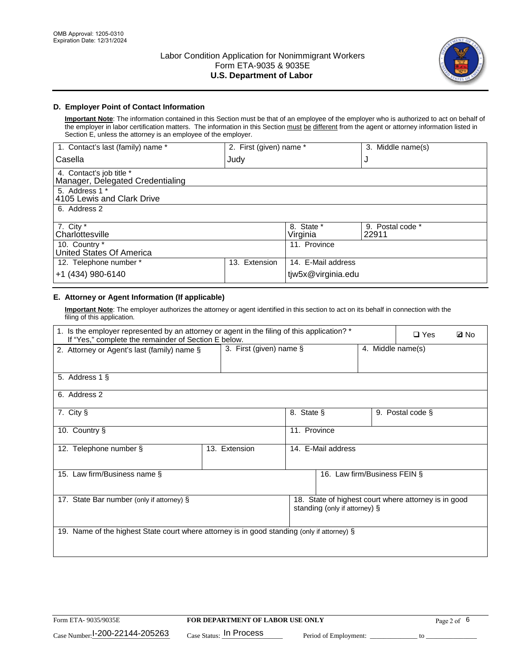

# **D. Employer Point of Contact Information**

**Important Note**: The information contained in this Section must be that of an employee of the employer who is authorized to act on behalf of the employer in labor certification matters. The information in this Section must be different from the agent or attorney information listed in Section E, unless the attorney is an employee of the employer.

| 1. Contact's last (family) name *                            | 2. First (given) name * |                        | 3. Middle name(s)         |
|--------------------------------------------------------------|-------------------------|------------------------|---------------------------|
| Casella                                                      | Judy                    |                        | J                         |
| 4. Contact's job title *<br>Manager, Delegated Credentialing |                         |                        |                           |
| 5. Address 1 *<br>4105 Lewis and Clark Drive                 |                         |                        |                           |
| 6. Address 2                                                 |                         |                        |                           |
| 7. City $*$<br>Charlottesville                               |                         | 8. State *<br>Virginia | 9. Postal code *<br>22911 |
| 10. Country *<br>United States Of America                    |                         | 11. Province           |                           |
| 12. Telephone number *                                       | Extension<br>13.        | 14. E-Mail address     |                           |
| +1 (434) 980-6140                                            |                         | tjw5x@virginia.edu     |                           |

# **E. Attorney or Agent Information (If applicable)**

**Important Note**: The employer authorizes the attorney or agent identified in this section to act on its behalf in connection with the filing of this application.

| 1. Is the employer represented by an attorney or agent in the filing of this application? *<br>If "Yes," complete the remainder of Section E below. |                         |              |                              | $\square$ Yes     | <b>ØNo</b>       |  |
|-----------------------------------------------------------------------------------------------------------------------------------------------------|-------------------------|--------------|------------------------------|-------------------|------------------|--|
| 2. Attorney or Agent's last (family) name §                                                                                                         | 3. First (given) name § |              |                              | 4. Middle name(s) |                  |  |
| 5. Address 1 §                                                                                                                                      |                         |              |                              |                   |                  |  |
| 6. Address 2                                                                                                                                        |                         |              |                              |                   |                  |  |
| 7. City §                                                                                                                                           |                         | 8. State §   |                              |                   | 9. Postal code § |  |
| 10. Country §                                                                                                                                       |                         | 11. Province |                              |                   |                  |  |
| 12. Telephone number §                                                                                                                              | 13. Extension           |              | 14. E-Mail address           |                   |                  |  |
| 15. Law firm/Business name §                                                                                                                        |                         |              | 16. Law firm/Business FEIN § |                   |                  |  |
| 18. State of highest court where attorney is in good<br>17. State Bar number (only if attorney) §<br>standing (only if attorney) §                  |                         |              |                              |                   |                  |  |
| 19. Name of the highest State court where attorney is in good standing (only if attorney) §                                                         |                         |              |                              |                   |                  |  |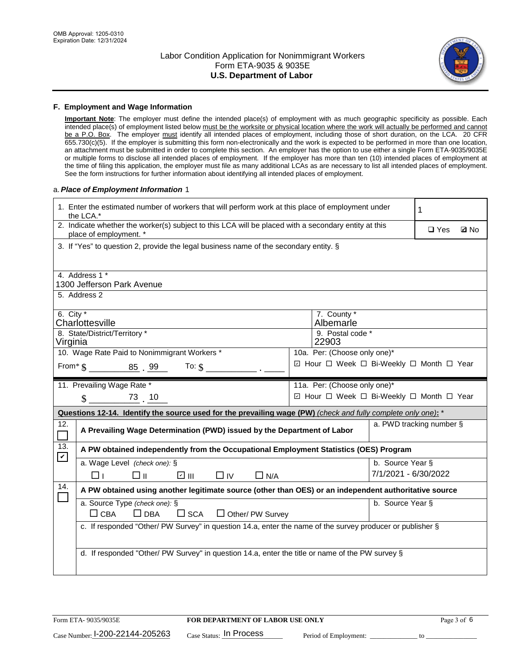

#### **F. Employment and Wage Information**

**Important Note**: The employer must define the intended place(s) of employment with as much geographic specificity as possible. Each intended place(s) of employment listed below must be the worksite or physical location where the work will actually be performed and cannot be a P.O. Box. The employer must identify all intended places of employment, including those of short duration, on the LCA. 20 CFR 655.730(c)(5). If the employer is submitting this form non-electronically and the work is expected to be performed in more than one location, an attachment must be submitted in order to complete this section. An employer has the option to use either a single Form ETA-9035/9035E or multiple forms to disclose all intended places of employment. If the employer has more than ten (10) intended places of employment at the time of filing this application, the employer must file as many additional LCAs as are necessary to list all intended places of employment. See the form instructions for further information about identifying all intended places of employment.

#### a.*Place of Employment Information* 1

| 1. Enter the estimated number of workers that will perform work at this place of employment under<br>the LCA.*                 | 1                                                                                     |  |  |  |  |  |
|--------------------------------------------------------------------------------------------------------------------------------|---------------------------------------------------------------------------------------|--|--|--|--|--|
| 2. Indicate whether the worker(s) subject to this LCA will be placed with a secondary entity at this<br>place of employment. * | $\square$ Yes<br><b>Z</b> No                                                          |  |  |  |  |  |
|                                                                                                                                | 3. If "Yes" to question 2, provide the legal business name of the secondary entity. § |  |  |  |  |  |
| 4. Address 1 *                                                                                                                 |                                                                                       |  |  |  |  |  |
| 1300 Jefferson Park Avenue                                                                                                     |                                                                                       |  |  |  |  |  |
| 5. Address 2                                                                                                                   |                                                                                       |  |  |  |  |  |
| 6. City $*$<br>Charlottesville                                                                                                 | 7. County *<br>Albemarle                                                              |  |  |  |  |  |
| 8. State/District/Territory *                                                                                                  | 9. Postal code *                                                                      |  |  |  |  |  |
| Virginia                                                                                                                       | 22903                                                                                 |  |  |  |  |  |
| 10. Wage Rate Paid to Nonimmigrant Workers *                                                                                   | 10a. Per: (Choose only one)*                                                          |  |  |  |  |  |
| From* $\$\_\_\_\_\_\_8\$ . 99 .<br>To: $\mathcal{S}$                                                                           | ☑ Hour □ Week □ Bi-Weekly □ Month □ Year                                              |  |  |  |  |  |
| 11. Prevailing Wage Rate *                                                                                                     | 11a. Per: (Choose only one)*                                                          |  |  |  |  |  |
| ☑ Hour □ Week □ Bi-Weekly □ Month □ Year<br>$\text{\$\$}$ 73 10                                                                |                                                                                       |  |  |  |  |  |
|                                                                                                                                |                                                                                       |  |  |  |  |  |
| Questions 12-14. Identify the source used for the prevailing wage (PW) (check and fully complete only one): *                  |                                                                                       |  |  |  |  |  |
| 12.<br>A Prevailing Wage Determination (PWD) issued by the Department of Labor<br>$\Box$                                       | a. PWD tracking number §                                                              |  |  |  |  |  |
| 13.<br>A PW obtained independently from the Occupational Employment Statistics (OES) Program                                   |                                                                                       |  |  |  |  |  |
| $\mathbf v$<br>a. Wage Level (check one): §                                                                                    | b. Source Year §                                                                      |  |  |  |  |  |
| ☑ Ⅲ<br>□⊪<br>$\Box$ IV<br>$\Box$ N/A<br>□⊥                                                                                     | 7/1/2021 - 6/30/2022                                                                  |  |  |  |  |  |
| 14.<br>A PW obtained using another legitimate source (other than OES) or an independent authoritative source                   |                                                                                       |  |  |  |  |  |
| a. Source Type (check one): §                                                                                                  | b. Source Year §                                                                      |  |  |  |  |  |
| $\Box$ CBA<br>$\Box$ DBA<br>$\square$ SCA<br>□ Other/ PW Survey                                                                |                                                                                       |  |  |  |  |  |
| c. If responded "Other/ PW Survey" in question 14.a, enter the name of the survey producer or publisher §                      |                                                                                       |  |  |  |  |  |
|                                                                                                                                |                                                                                       |  |  |  |  |  |
| d. If responded "Other/ PW Survey" in question 14.a, enter the title or name of the PW survey §                                |                                                                                       |  |  |  |  |  |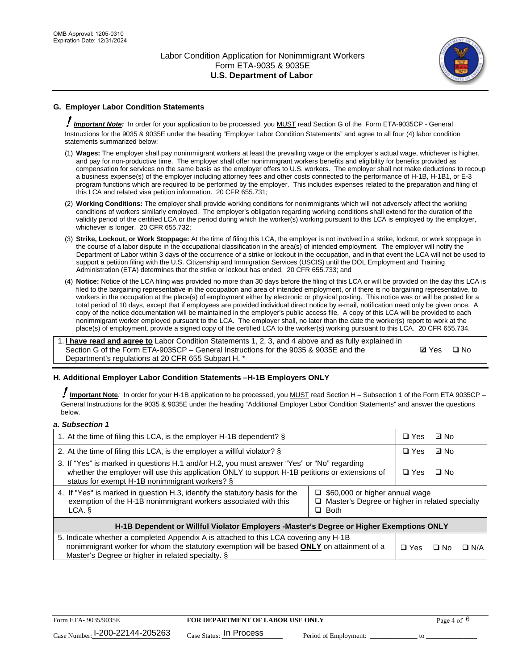

# **G. Employer Labor Condition Statements**

! *Important Note:* In order for your application to be processed, you MUST read Section G of the Form ETA-9035CP - General Instructions for the 9035 & 9035E under the heading "Employer Labor Condition Statements" and agree to all four (4) labor condition statements summarized below:

- (1) **Wages:** The employer shall pay nonimmigrant workers at least the prevailing wage or the employer's actual wage, whichever is higher, and pay for non-productive time. The employer shall offer nonimmigrant workers benefits and eligibility for benefits provided as compensation for services on the same basis as the employer offers to U.S. workers. The employer shall not make deductions to recoup a business expense(s) of the employer including attorney fees and other costs connected to the performance of H-1B, H-1B1, or E-3 program functions which are required to be performed by the employer. This includes expenses related to the preparation and filing of this LCA and related visa petition information. 20 CFR 655.731;
- (2) **Working Conditions:** The employer shall provide working conditions for nonimmigrants which will not adversely affect the working conditions of workers similarly employed. The employer's obligation regarding working conditions shall extend for the duration of the validity period of the certified LCA or the period during which the worker(s) working pursuant to this LCA is employed by the employer, whichever is longer. 20 CFR 655.732;
- (3) **Strike, Lockout, or Work Stoppage:** At the time of filing this LCA, the employer is not involved in a strike, lockout, or work stoppage in the course of a labor dispute in the occupational classification in the area(s) of intended employment. The employer will notify the Department of Labor within 3 days of the occurrence of a strike or lockout in the occupation, and in that event the LCA will not be used to support a petition filing with the U.S. Citizenship and Immigration Services (USCIS) until the DOL Employment and Training Administration (ETA) determines that the strike or lockout has ended. 20 CFR 655.733; and
- (4) **Notice:** Notice of the LCA filing was provided no more than 30 days before the filing of this LCA or will be provided on the day this LCA is filed to the bargaining representative in the occupation and area of intended employment, or if there is no bargaining representative, to workers in the occupation at the place(s) of employment either by electronic or physical posting. This notice was or will be posted for a total period of 10 days, except that if employees are provided individual direct notice by e-mail, notification need only be given once. A copy of the notice documentation will be maintained in the employer's public access file. A copy of this LCA will be provided to each nonimmigrant worker employed pursuant to the LCA. The employer shall, no later than the date the worker(s) report to work at the place(s) of employment, provide a signed copy of the certified LCA to the worker(s) working pursuant to this LCA. 20 CFR 655.734.

1. **I have read and agree to** Labor Condition Statements 1, 2, 3, and 4 above and as fully explained in Section G of the Form ETA-9035CP – General Instructions for the 9035 & 9035E and the Department's regulations at 20 CFR 655 Subpart H. \*

**Ø**Yes ロNo

#### **H. Additional Employer Labor Condition Statements –H-1B Employers ONLY**

!**Important Note***:* In order for your H-1B application to be processed, you MUST read Section H – Subsection 1 of the Form ETA 9035CP – General Instructions for the 9035 & 9035E under the heading "Additional Employer Labor Condition Statements" and answer the questions below.

#### *a. Subsection 1*

| 1. At the time of filing this LCA, is the employer H-1B dependent? §                                                                                                                                                                                                 |  | $\Box$ Yes | ⊡ No |            |
|----------------------------------------------------------------------------------------------------------------------------------------------------------------------------------------------------------------------------------------------------------------------|--|------------|------|------------|
| 2. At the time of filing this LCA, is the employer a willful violator? $\S$                                                                                                                                                                                          |  | $\Box$ Yes | ⊡ No |            |
| 3. If "Yes" is marked in questions H.1 and/or H.2, you must answer "Yes" or "No" regarding<br>whether the employer will use this application ONLY to support H-1B petitions or extensions of<br>status for exempt H-1B nonimmigrant workers? §                       |  | $\Box$ Yes | ∩ No |            |
| 4. If "Yes" is marked in question H.3, identify the statutory basis for the<br>$\Box$ \$60,000 or higher annual wage<br>exemption of the H-1B nonimmigrant workers associated with this<br>□ Master's Degree or higher in related specialty<br>$\Box$ Both<br>LCA. § |  |            |      |            |
| H-1B Dependent or Willful Violator Employers -Master's Degree or Higher Exemptions ONLY                                                                                                                                                                              |  |            |      |            |
| 5. Indicate whether a completed Appendix A is attached to this LCA covering any H-1B<br>nonimmigrant worker for whom the statutory exemption will be based <b>ONLY</b> on attainment of a<br>Master's Degree or higher in related specialty. §                       |  | $\Box$ Yes | ⊡ No | $\Box$ N/A |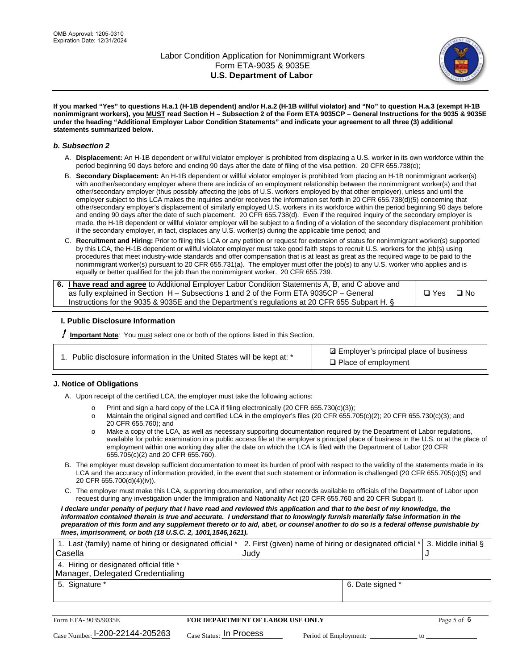

**If you marked "Yes" to questions H.a.1 (H-1B dependent) and/or H.a.2 (H-1B willful violator) and "No" to question H.a.3 (exempt H-1B nonimmigrant workers), you MUST read Section H – Subsection 2 of the Form ETA 9035CP – General Instructions for the 9035 & 9035E under the heading "Additional Employer Labor Condition Statements" and indicate your agreement to all three (3) additional statements summarized below.**

#### *b. Subsection 2*

- A. **Displacement:** An H-1B dependent or willful violator employer is prohibited from displacing a U.S. worker in its own workforce within the period beginning 90 days before and ending 90 days after the date of filing of the visa petition. 20 CFR 655.738(c);
- B. **Secondary Displacement:** An H-1B dependent or willful violator employer is prohibited from placing an H-1B nonimmigrant worker(s) with another/secondary employer where there are indicia of an employment relationship between the nonimmigrant worker(s) and that other/secondary employer (thus possibly affecting the jobs of U.S. workers employed by that other employer), unless and until the employer subject to this LCA makes the inquiries and/or receives the information set forth in 20 CFR 655.738(d)(5) concerning that other/secondary employer's displacement of similarly employed U.S. workers in its workforce within the period beginning 90 days before and ending 90 days after the date of such placement. 20 CFR 655.738(d). Even if the required inquiry of the secondary employer is made, the H-1B dependent or willful violator employer will be subject to a finding of a violation of the secondary displacement prohibition if the secondary employer, in fact, displaces any U.S. worker(s) during the applicable time period; and
- C. **Recruitment and Hiring:** Prior to filing this LCA or any petition or request for extension of status for nonimmigrant worker(s) supported by this LCA, the H-1B dependent or willful violator employer must take good faith steps to recruit U.S. workers for the job(s) using procedures that meet industry-wide standards and offer compensation that is at least as great as the required wage to be paid to the nonimmigrant worker(s) pursuant to 20 CFR 655.731(a). The employer must offer the job(s) to any U.S. worker who applies and is equally or better qualified for the job than the nonimmigrant worker. 20 CFR 655.739.

| 6. I have read and agree to Additional Employer Labor Condition Statements A, B, and C above and |       |           |
|--------------------------------------------------------------------------------------------------|-------|-----------|
| as fully explained in Section H – Subsections 1 and 2 of the Form ETA 9035CP – General           | □ Yes | $\Box$ No |
| Instructions for the 9035 & 9035 E and the Department's regulations at 20 CFR 655 Subpart H. §   |       |           |

#### **I. Public Disclosure Information**

! **Important Note***:* You must select one or both of the options listed in this Section.

**sqrt** Employer's principal place of business □ Place of employment

#### **J. Notice of Obligations**

A. Upon receipt of the certified LCA, the employer must take the following actions:

- o Print and sign a hard copy of the LCA if filing electronically (20 CFR 655.730(c)(3));<br>
Maintain the original signed and certified LCA in the employer's files (20 CFR 655.7
- Maintain the original signed and certified LCA in the employer's files (20 CFR 655.705(c)(2); 20 CFR 655.730(c)(3); and 20 CFR 655.760); and
- o Make a copy of the LCA, as well as necessary supporting documentation required by the Department of Labor regulations, available for public examination in a public access file at the employer's principal place of business in the U.S. or at the place of employment within one working day after the date on which the LCA is filed with the Department of Labor (20 CFR 655.705(c)(2) and 20 CFR 655.760).
- B. The employer must develop sufficient documentation to meet its burden of proof with respect to the validity of the statements made in its LCA and the accuracy of information provided, in the event that such statement or information is challenged (20 CFR 655.705(c)(5) and 20 CFR 655.700(d)(4)(iv)).
- C. The employer must make this LCA, supporting documentation, and other records available to officials of the Department of Labor upon request during any investigation under the Immigration and Nationality Act (20 CFR 655.760 and 20 CFR Subpart I).

*I declare under penalty of perjury that I have read and reviewed this application and that to the best of my knowledge, the*  information contained therein is true and accurate. I understand that to knowingly furnish materially false information in the *preparation of this form and any supplement thereto or to aid, abet, or counsel another to do so is a federal offense punishable by fines, imprisonment, or both (18 U.S.C. 2, 1001,1546,1621).*

| 1. Last (family) name of hiring or designated official *   2. First (given) name of hiring or designated official *   3. Middle initial §<br>Casella | Judv             |  |
|------------------------------------------------------------------------------------------------------------------------------------------------------|------------------|--|
| 4. Hiring or designated official title *<br>Manager, Delegated Credentialing                                                                         |                  |  |
| 5. Signature *                                                                                                                                       | 6. Date signed * |  |